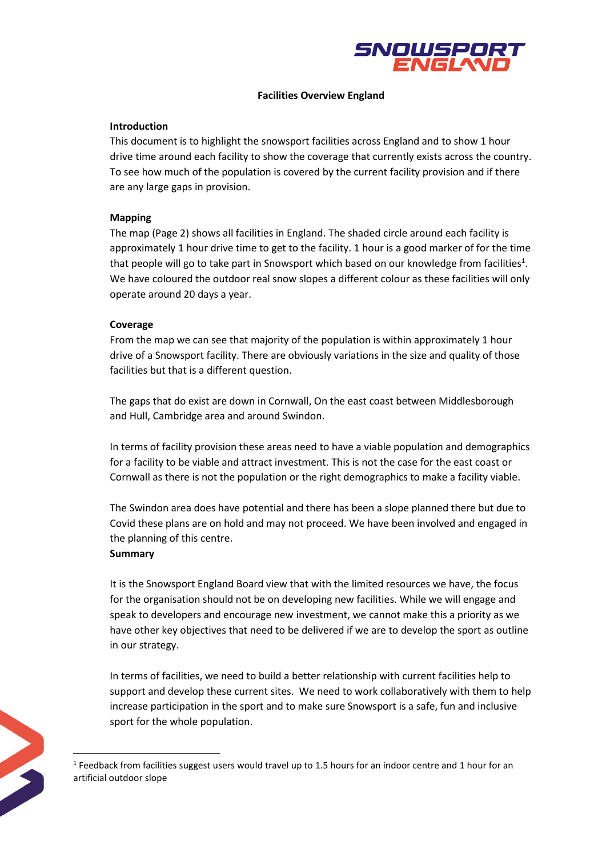

#### **Facilities Overview England**

#### **Introduction**

This document is to highlight the snowsport facilities across England and to show 1 hour drive time around each facility to show the coverage that currently exists across the country. To see how much of the population is covered by the current facility provision and if there are any large gaps in provision.

## **Mapping**

The map (Page 2) shows all facilities in England. The shaded circle around each facility is approximately 1 hour drive time to get to the facility. 1 hour is a good marker of for the time that people will go to take part in Snowsport which based on our knowledge from facilities<sup>1</sup>. We have coloured the outdoor real snow slopes a different colour as these facilities will only operate around 20 days a year.

## **Coverage**

From the map we can see that majority of the population is within approximately 1 hour drive of a Snowsport facility. There are obviously variations in the size and quality of those facilities but that is a different question.

The gaps that do exist are down in Cornwall, On the east coast between Middlesborough and Hull, Cambridge area and around Swindon.

In terms of facility provision these areas need to have a viable population and demographics for a facility to be viable and attract investment. This is not the case for the east coast or Cornwall as there is not the population or the right demographics to make a facility viable.

The Swindon area does have potential and there has been a slope planned there but due to Covid these plans are on hold and may not proceed. We have been involved and engaged in the planning of this centre.

#### **Summary**

It is the Snowsport England Board view that with the limited resources we have, the focus for the organisation should not be on developing new facilities. While we will engage and speak to developers and encourage new investment, we cannot make this a priority as we have other key objectives that need to be delivered if we are to develop the sport as outline in our strategy.

In terms of facilities, we need to build a better relationship with current facilities help to support and develop these current sites. We need to work collaboratively with them to help increase participation in the sport and to make sure Snowsport is a safe, fun and inclusive sport for the whole population.

 $<sup>1</sup>$  Feedback from facilities suggest users would travel up to 1.5 hours for an indoor centre and 1 hour for an</sup> artificial outdoor slope